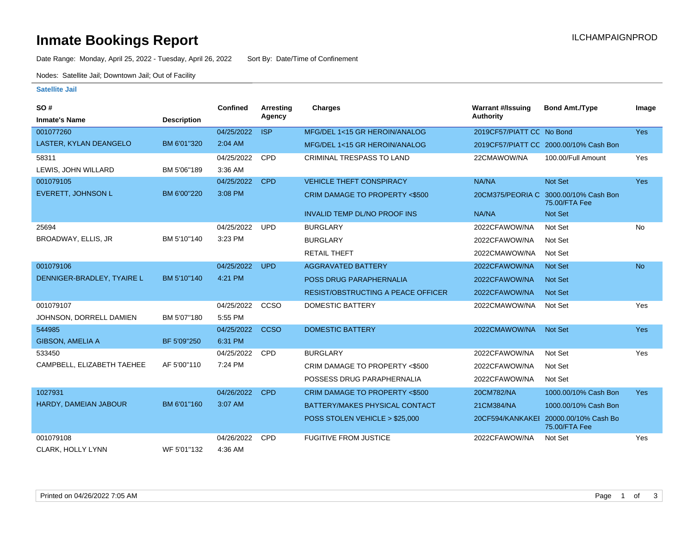## **Inmate Bookings Report International Contract Contract Contract Contract Contract Contract Contract Contract Contract Contract Contract Contract Contract Contract Contract Contract Contract Contract Contract Contract Co**

Date Range: Monday, April 25, 2022 - Tuesday, April 26, 2022 Sort By: Date/Time of Confinement

Nodes: Satellite Jail; Downtown Jail; Out of Facility

#### **Satellite Jail**

| SO#                        |                    | <b>Confined</b> | <b>Arresting</b> | <b>Charges</b>                            | <b>Warrant #/Issuing</b>  | <b>Bond Amt./Type</b>                                  | Image      |
|----------------------------|--------------------|-----------------|------------------|-------------------------------------------|---------------------------|--------------------------------------------------------|------------|
| <b>Inmate's Name</b>       | <b>Description</b> |                 | Agency           |                                           | <b>Authority</b>          |                                                        |            |
| 001077260                  |                    | 04/25/2022      | <b>ISP</b>       | MFG/DEL 1<15 GR HEROIN/ANALOG             | 2019CF57/PIATT CC No Bond |                                                        | <b>Yes</b> |
| LASTER, KYLAN DEANGELO     | BM 6'01"320        | 2:04 AM         |                  | MFG/DEL 1<15 GR HEROIN/ANALOG             |                           | 2019CF57/PIATT CC 2000.00/10% Cash Bon                 |            |
| 58311                      |                    | 04/25/2022      | <b>CPD</b>       | CRIMINAL TRESPASS TO LAND                 | 22CMAWOW/NA               | 100.00/Full Amount                                     | Yes        |
| LEWIS, JOHN WILLARD        | BM 5'06"189        | 3:36 AM         |                  |                                           |                           |                                                        |            |
| 001079105                  |                    | 04/25/2022      | <b>CPD</b>       | <b>VEHICLE THEFT CONSPIRACY</b>           | NA/NA                     | <b>Not Set</b>                                         | Yes        |
| <b>EVERETT, JOHNSON L</b>  | BM 6'00"220        | 3:08 PM         |                  | <b>CRIM DAMAGE TO PROPERTY &lt;\$500</b>  | 20CM375/PEORIA C          | 3000.00/10% Cash Bon<br>75.00/FTA Fee                  |            |
|                            |                    |                 |                  | <b>INVALID TEMP DL/NO PROOF INS</b>       | NA/NA                     | Not Set                                                |            |
| 25694                      |                    | 04/25/2022      | <b>UPD</b>       | <b>BURGLARY</b>                           | 2022CFAWOW/NA             | Not Set                                                | <b>No</b>  |
| BROADWAY, ELLIS, JR        | BM 5'10"140        | 3:23 PM         |                  | <b>BURGLARY</b>                           | 2022CFAWOW/NA             | Not Set                                                |            |
|                            |                    |                 |                  | <b>RETAIL THEFT</b>                       | 2022CMAWOW/NA             | Not Set                                                |            |
| 001079106                  |                    | 04/25/2022      | <b>UPD</b>       | <b>AGGRAVATED BATTERY</b>                 | 2022CFAWOW/NA             | <b>Not Set</b>                                         | <b>No</b>  |
| DENNIGER-BRADLEY, TYAIRE L | BM 5'10"140        | 4:21 PM         |                  | POSS DRUG PARAPHERNALIA                   | 2022CFAWOW/NA             | <b>Not Set</b>                                         |            |
|                            |                    |                 |                  | <b>RESIST/OBSTRUCTING A PEACE OFFICER</b> | 2022CFAWOW/NA             | <b>Not Set</b>                                         |            |
| 001079107                  |                    | 04/25/2022      | CCSO             | DOMESTIC BATTERY                          | 2022CMAWOW/NA             | Not Set                                                | Yes        |
| JOHNSON, DORRELL DAMIEN    | BM 5'07"180        | 5:55 PM         |                  |                                           |                           |                                                        |            |
| 544985                     |                    | 04/25/2022      | <b>CCSO</b>      | <b>DOMESTIC BATTERY</b>                   | 2022CMAWOW/NA             | <b>Not Set</b>                                         | Yes        |
| <b>GIBSON, AMELIA A</b>    | BF 5'09"250        | 6:31 PM         |                  |                                           |                           |                                                        |            |
| 533450                     |                    | 04/25/2022      | <b>CPD</b>       | <b>BURGLARY</b>                           | 2022CFAWOW/NA             | Not Set                                                | Yes        |
| CAMPBELL, ELIZABETH TAEHEE | AF 5'00"110        | 7:24 PM         |                  | CRIM DAMAGE TO PROPERTY <\$500            | 2022CFAWOW/NA             | Not Set                                                |            |
|                            |                    |                 |                  | POSSESS DRUG PARAPHERNALIA                | 2022CFAWOW/NA             | Not Set                                                |            |
| 1027931                    |                    | 04/26/2022      | <b>CPD</b>       | CRIM DAMAGE TO PROPERTY <\$500            | 20CM782/NA                | 1000.00/10% Cash Bon                                   | <b>Yes</b> |
| HARDY, DAMEIAN JABOUR      | BM 6'01"160        | 3:07 AM         |                  | BATTERY/MAKES PHYSICAL CONTACT            | 21CM384/NA                | 1000.00/10% Cash Bon                                   |            |
|                            |                    |                 |                  | POSS STOLEN VEHICLE > \$25,000            |                           | 20CF594/KANKAKEI 20000.00/10% Cash Bo<br>75.00/FTA Fee |            |
| 001079108                  |                    | 04/26/2022      | <b>CPD</b>       | <b>FUGITIVE FROM JUSTICE</b>              | 2022CFAWOW/NA             | Not Set                                                | Yes        |
| CLARK, HOLLY LYNN          | WF 5'01"132        | 4:36 AM         |                  |                                           |                           |                                                        |            |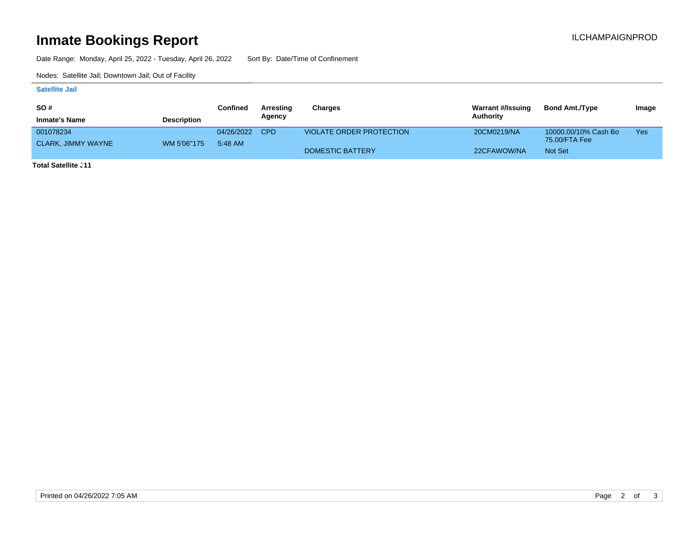## **Inmate Bookings Report International Contract Contract Contract Contract Contract Contract Contract Contract Contract Contract Contract Contract Contract Contract Contract Contract Contract Contract Contract Contract Co**

Date Range: Monday, April 25, 2022 - Tuesday, April 26, 2022 Sort By: Date/Time of Confinement

Nodes: Satellite Jail; Downtown Jail; Out of Facility

#### **Satellite Jail**

| SO#                       |                    | Confined       | Arresting | Charges                  | Warrant #/Issuing | <b>Bond Amt./Type</b> | Image |
|---------------------------|--------------------|----------------|-----------|--------------------------|-------------------|-----------------------|-------|
| <b>Inmate's Name</b>      | <b>Description</b> |                | Agency    |                          | Authority         |                       |       |
| 001078234                 | WM 5'06"175        | 04/26/2022 CPD |           | VIOLATE ORDER PROTECTION | 20CM0219/NA       | 10000.00/10% Cash Bo  | Yes   |
| <b>CLARK, JIMMY WAYNE</b> |                    | 5:48 AM        |           |                          |                   | 75.00/FTA Fee         |       |
|                           |                    |                |           | DOMESTIC BATTERY         | 22CFAWOW/NA       | Not Set               |       |

**Total Satellite J11**